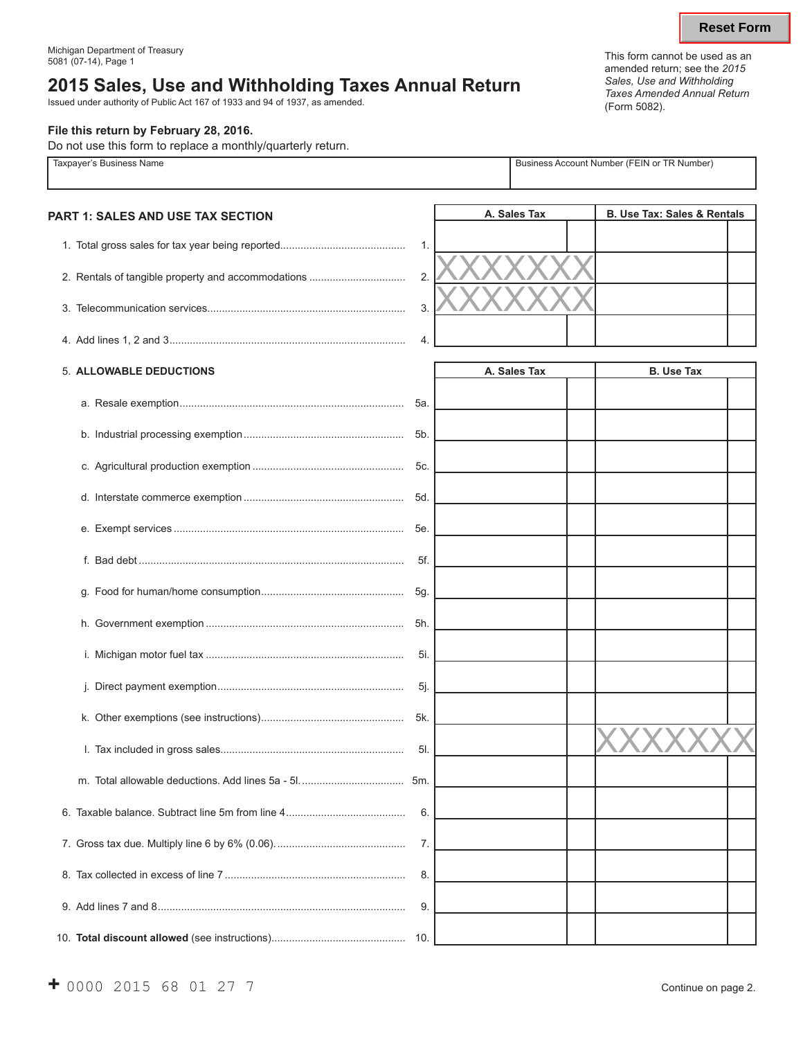# **2015 Sales, Use and Withholding Taxes Annual Return**

Issued under authority of Public Act 167 of 1933 and 94 of 1937, as amended.

#### **File this return by February 28, 2016.**

Do not use this form to replace a monthly/quarterly return.

| Taxpayer's Business Name                 |     |              | Business Account Number (FEIN or TR Number) |  |  |  |
|------------------------------------------|-----|--------------|---------------------------------------------|--|--|--|
| <b>PART 1: SALES AND USE TAX SECTION</b> |     | A. Sales Tax | <b>B. Use Tax: Sales &amp; Rentals</b>      |  |  |  |
|                                          | 1.  |              |                                             |  |  |  |
|                                          | 2.  |              |                                             |  |  |  |
|                                          | 3.  |              |                                             |  |  |  |
|                                          | 4.  |              |                                             |  |  |  |
| 5. ALLOWABLE DEDUCTIONS                  |     | A. Sales Tax | <b>B. Use Tax</b>                           |  |  |  |
|                                          | 5а. |              |                                             |  |  |  |
|                                          | 5b. |              |                                             |  |  |  |
|                                          | 5c. |              |                                             |  |  |  |
|                                          | 5d. |              |                                             |  |  |  |
|                                          | 5е. |              |                                             |  |  |  |
|                                          | 5f. |              |                                             |  |  |  |
|                                          | 5g. |              |                                             |  |  |  |
|                                          | 5h. |              |                                             |  |  |  |
|                                          | 5i. |              |                                             |  |  |  |
|                                          | 5j  |              |                                             |  |  |  |
|                                          | 5k. |              |                                             |  |  |  |
|                                          | 5I. |              |                                             |  |  |  |
|                                          | 5m. |              |                                             |  |  |  |
|                                          | 6.  |              |                                             |  |  |  |
|                                          | 7.  |              |                                             |  |  |  |
|                                          | 8.  |              |                                             |  |  |  |
|                                          | 9.  |              |                                             |  |  |  |
|                                          |     |              |                                             |  |  |  |

This form cannot be used as an amended return; see the *2015 Sales, Use and Withholding Taxes Amended Annual Return* (Form 5082).

10. **Total discount allowed** (see instructions).............................................. 10.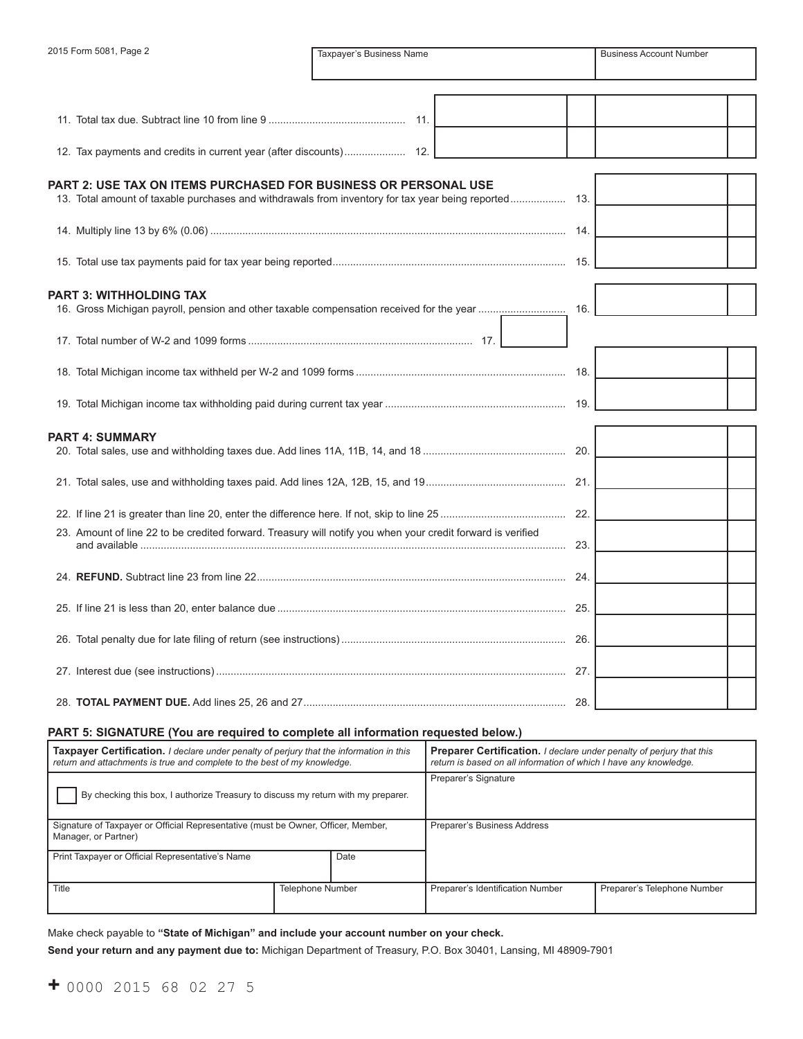| 2015 Form 5081, Page 2                                                                                      | Taxpayer's Business Name |  |  |     | <b>Business Account Number</b> |  |
|-------------------------------------------------------------------------------------------------------------|--------------------------|--|--|-----|--------------------------------|--|
|                                                                                                             |                          |  |  |     |                                |  |
|                                                                                                             |                          |  |  |     |                                |  |
|                                                                                                             |                          |  |  |     |                                |  |
|                                                                                                             |                          |  |  |     |                                |  |
| PART 2: USE TAX ON ITEMS PURCHASED FOR BUSINESS OR PERSONAL USE                                             |                          |  |  |     |                                |  |
|                                                                                                             |                          |  |  |     |                                |  |
|                                                                                                             |                          |  |  |     |                                |  |
|                                                                                                             |                          |  |  |     |                                |  |
|                                                                                                             |                          |  |  |     |                                |  |
| <b>PART 3: WITHHOLDING TAX</b>                                                                              |                          |  |  | 16. |                                |  |
|                                                                                                             |                          |  |  |     |                                |  |
|                                                                                                             |                          |  |  |     |                                |  |
|                                                                                                             |                          |  |  |     |                                |  |
|                                                                                                             |                          |  |  |     |                                |  |
| <b>PART 4: SUMMARY</b>                                                                                      |                          |  |  |     |                                |  |
|                                                                                                             |                          |  |  | 20. |                                |  |
|                                                                                                             |                          |  |  |     |                                |  |
|                                                                                                             |                          |  |  |     |                                |  |
|                                                                                                             |                          |  |  |     |                                |  |
| 23. Amount of line 22 to be credited forward. Treasury will notify you when your credit forward is verified |                          |  |  | 23. |                                |  |
|                                                                                                             |                          |  |  |     |                                |  |
|                                                                                                             |                          |  |  | 24. |                                |  |
|                                                                                                             |                          |  |  |     |                                |  |
|                                                                                                             |                          |  |  |     |                                |  |
|                                                                                                             |                          |  |  |     |                                |  |
|                                                                                                             |                          |  |  |     |                                |  |
|                                                                                                             |                          |  |  |     |                                |  |

### PART 5: SIGNATURE (You are required to complete all information requested below.)

28. **TOTAL PAYMENT DUE.** Add lines 25, 26 and 27.......................................................................................... 28.

| <b>Taxpayer Certification.</b> I declare under penalty of perjury that the information in this<br>return and attachments is true and complete to the best of my knowledge. |                         | <b>Preparer Certification.</b> I declare under penalty of perjury that this<br>return is based on all information of which I have any knowledge. |                             |  |
|----------------------------------------------------------------------------------------------------------------------------------------------------------------------------|-------------------------|--------------------------------------------------------------------------------------------------------------------------------------------------|-----------------------------|--|
| By checking this box, I authorize Treasury to discuss my return with my preparer.                                                                                          |                         | Preparer's Signature                                                                                                                             |                             |  |
| Signature of Taxpayer or Official Representative (must be Owner, Officer, Member,<br>Manager, or Partner)                                                                  |                         | Preparer's Business Address                                                                                                                      |                             |  |
| Print Taxpayer or Official Representative's Name                                                                                                                           | Date                    |                                                                                                                                                  |                             |  |
| <b>Title</b>                                                                                                                                                               | <b>Telephone Number</b> | Preparer's Identification Number                                                                                                                 | Preparer's Telephone Number |  |

Make check payable to **"State of Michigan" and include your account number on your check. Send your return and any payment due to:** Michigan Department of Treasury, P.O. Box 30401, Lansing, MI 48909-7901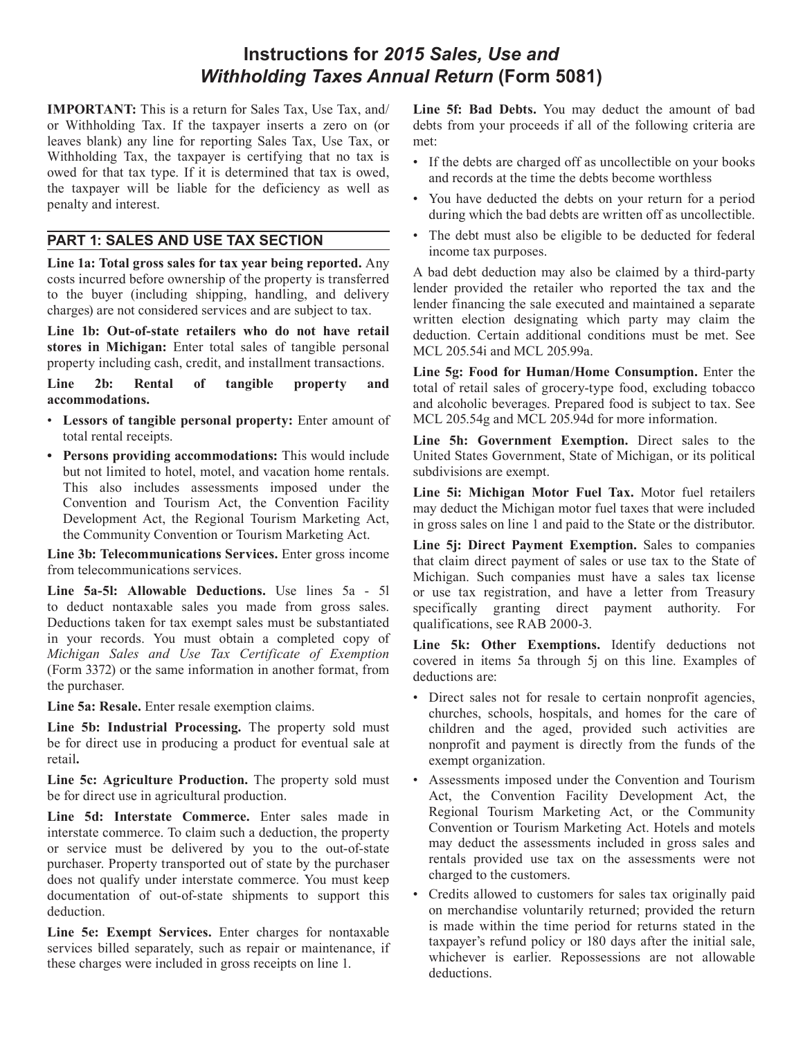# **Instructions for** *2015 Sales, Use and Withholding Taxes Annual Return* **(Form 5081)**

**IMPORTANT:** This is a return for Sales Tax, Use Tax, and/ or Withholding Tax. If the taxpayer inserts a zero on (or leaves blank) any line for reporting Sales Tax, Use Tax, or Withholding Tax, the taxpayer is certifying that no tax is owed for that tax type. If it is determined that tax is owed, the taxpayer will be liable for the deficiency as well as penalty and interest.

# **PART 1: SALES AND USE TAX SECTION**

**Line 1a: Total gross sales for tax year being reported.** Any costs incurred before ownership of the property is transferred to the buyer (including shipping, handling, and delivery charges) are not considered services and are subject to tax.

**Line 1b: Out-of-state retailers who do not have retail stores in Michigan:** Enter total sales of tangible personal property including cash, credit, and installment transactions.

**Line 2b: Rental of tangible property and accommodations.**

- • **Lessors of tangible personal property:** Enter amount of total rental receipts.
- **• Persons providing accommodations:** This would include but not limited to hotel, motel, and vacation home rentals. This also includes assessments imposed under the Convention and Tourism Act, the Convention Facility Development Act, the Regional Tourism Marketing Act, the Community Convention or Tourism Marketing Act.

**Line 3b: Telecommunications Services.** Enter gross income from telecommunications services.

**Line 5a-5l: Allowable Deductions.** Use lines 5a - 5l to deduct nontaxable sales you made from gross sales. Deductions taken for tax exempt sales must be substantiated in your records. You must obtain a completed copy of *Michigan Sales and Use Tax Certificate of Exemption*  (Form 3372) or the same information in another format, from the purchaser.

**Line 5a: Resale.** Enter resale exemption claims.

**Line 5b: Industrial Processing.** The property sold must be for direct use in producing a product for eventual sale at retail**.**

**Line 5c: Agriculture Production.** The property sold must be for direct use in agricultural production.

**Line 5d: Interstate Commerce.** Enter sales made in interstate commerce. To claim such a deduction, the property or service must be delivered by you to the out-of-state purchaser. Property transported out of state by the purchaser does not qualify under interstate commerce. You must keep documentation of out-of-state shipments to support this deduction.

**Line 5e: Exempt Services.** Enter charges for nontaxable services billed separately, such as repair or maintenance, if these charges were included in gross receipts on line 1.

**Line 5f: Bad Debts.** You may deduct the amount of bad debts from your proceeds if all of the following criteria are met:

- If the debts are charged off as uncollectible on your books and records at the time the debts become worthless
- You have deducted the debts on your return for a period during which the bad debts are written off as uncollectible.
- The debt must also be eligible to be deducted for federal income tax purposes.

A bad debt deduction may also be claimed by a third-party lender provided the retailer who reported the tax and the lender financing the sale executed and maintained a separate written election designating which party may claim the deduction. Certain additional conditions must be met. See MCL 205.54i and MCL 205.99a.

**Line 5g: Food for Human/Home Consumption.** Enter the total of retail sales of grocery-type food, excluding tobacco and alcoholic beverages. Prepared food is subject to tax. See MCL 205.54g and MCL 205.94d for more information.

**Line 5h: Government Exemption.** Direct sales to the United States Government, State of Michigan, or its political subdivisions are exempt.

**Line 5i: Michigan Motor Fuel Tax.** Motor fuel retailers may deduct the Michigan motor fuel taxes that were included in gross sales on line 1 and paid to the State or the distributor.

Line 5*j*: Direct Payment Exemption. Sales to companies that claim direct payment of sales or use tax to the State of Michigan. Such companies must have a sales tax license or use tax registration, and have a letter from Treasury specifically granting direct payment authority. For qualifications, see RAB 2000-3.

**Line 5k: Other Exemptions.** Identify deductions not covered in items 5a through 5j on this line. Examples of deductions are:

- Direct sales not for resale to certain nonprofit agencies, churches, schools, hospitals, and homes for the care of children and the aged, provided such activities are nonprofit and payment is directly from the funds of the exempt organization.
- • Assessments imposed under the Convention and Tourism Act, the Convention Facility Development Act, the Regional Tourism Marketing Act, or the Community Convention or Tourism Marketing Act. Hotels and motels may deduct the assessments included in gross sales and rentals provided use tax on the assessments were not charged to the customers.
- • Credits allowed to customers for sales tax originally paid on merchandise voluntarily returned; provided the return is made within the time period for returns stated in the taxpayer's refund policy or 180 days after the initial sale, whichever is earlier. Repossessions are not allowable deductions.